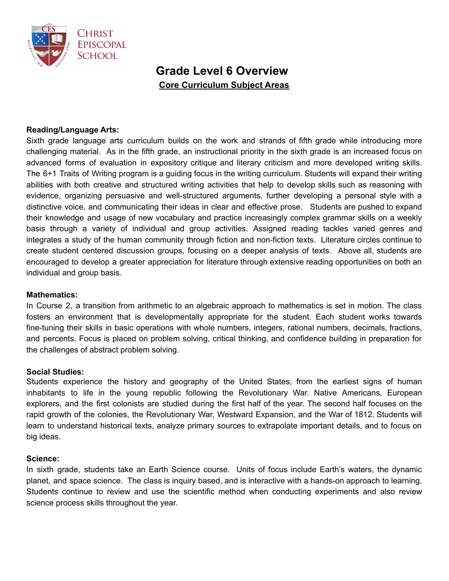

# **Grade Level 6 Overview Core Curriculum Subject Areas**

## **Reading/Language Arts:**

Sixth grade language arts curriculum builds on the work and strands of fifth grade while introducing more challenging material. As in the fifth grade, an instructional priority in the sixth grade is an increased focus on advanced forms of evaluation in expository critique and literary criticism and more developed writing skills. The 6+1 Traits of Writing program is a guiding focus in the writing curriculum. Students will expand their writing abilities with both creative and structured writing activities that help to develop skills such as reasoning with evidence, organizing persuasive and well-structured arguments, further developing a personal style with a distinctive voice, and communicating their ideas in clear and effective prose. Students are pushed to expand their knowledge and usage of new vocabulary and practice increasingly complex grammar skills on a weekly basis through a variety of individual and group activities. Assigned reading tackles varied genres and integrates a study of the human community through fiction and non-fiction texts. Literature circles continue to create student centered discussion groups, focusing on a deeper analysis of texts. Above all, students are encouraged to develop a greater appreciation for literature through extensive reading opportunities on both an individual and group basis.

#### **Mathematics:**

In Course 2, a transition from arithmetic to an algebraic approach to mathematics is set in motion. The class fosters an environment that is developmentally appropriate for the student. Each student works towards fine-tuning their skills in basic operations with whole numbers, integers, rational numbers, decimals, fractions, and percents. Focus is placed on problem solving, critical thinking, and confidence building in preparation for the challenges of abstract problem solving.

#### **Social Studies:**

Students experience the history and geography of the United States, from the earliest signs of human inhabitants to life in the young republic following the Revolutionary War. Native Americans, European explorers, and the first colonists are studied during the first half of the year. The second half focuses on the rapid growth of the colonies, the Revolutionary War, Westward Expansion, and the War of 1812. Students will learn to understand historical texts, analyze primary sources to extrapolate important details, and to focus on big ideas.

#### **Science:**

In sixth grade, students take an Earth Science course. Units of focus include Earth's waters, the dynamic planet, and space science. The class is inquiry based, and is interactive with a hands-on approach to learning. Students continue to review and use the scientific method when conducting experiments and also review science process skills throughout the year.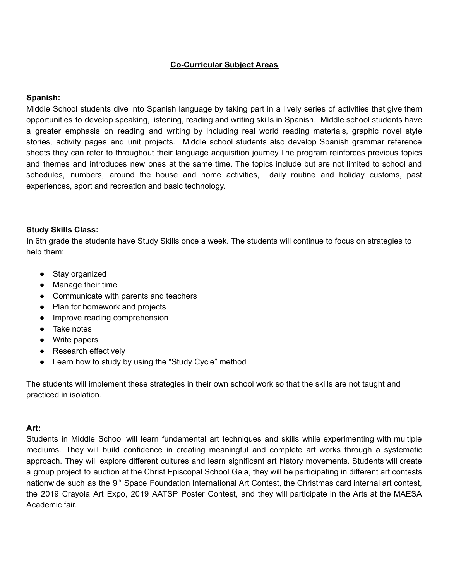# **Co-Curricular Subject Areas**

## **Spanish:**

Middle School students dive into Spanish language by taking part in a lively series of activities that give them opportunities to develop speaking, listening, reading and writing skills in Spanish. Middle school students have a greater emphasis on reading and writing by including real world reading materials, graphic novel style stories, activity pages and unit projects. Middle school students also develop Spanish grammar reference sheets they can refer to throughout their language acquisition journey.The program reinforces previous topics and themes and introduces new ones at the same time. The topics include but are not limited to school and schedules, numbers, around the house and home activities, daily routine and holiday customs, past experiences, sport and recreation and basic technology.

#### **Study Skills Class:**

In 6th grade the students have Study Skills once a week. The students will continue to focus on strategies to help them:

- Stay organized
- Manage their time
- Communicate with parents and teachers
- Plan for homework and projects
- Improve reading comprehension
- Take notes
- Write papers
- Research effectively
- Learn how to study by using the "Study Cycle" method

The students will implement these strategies in their own school work so that the skills are not taught and practiced in isolation.

#### **Art:**

Students in Middle School will learn fundamental art techniques and skills while experimenting with multiple mediums. They will build confidence in creating meaningful and complete art works through a systematic approach. They will explore different cultures and learn significant art history movements. Students will create a group project to auction at the Christ Episcopal School Gala, they will be participating in different art contests nationwide such as the 9<sup>th</sup> Space Foundation International Art Contest, the Christmas card internal art contest, the 2019 Crayola Art Expo, 2019 AATSP Poster Contest, and they will participate in the Arts at the MAESA Academic fair.